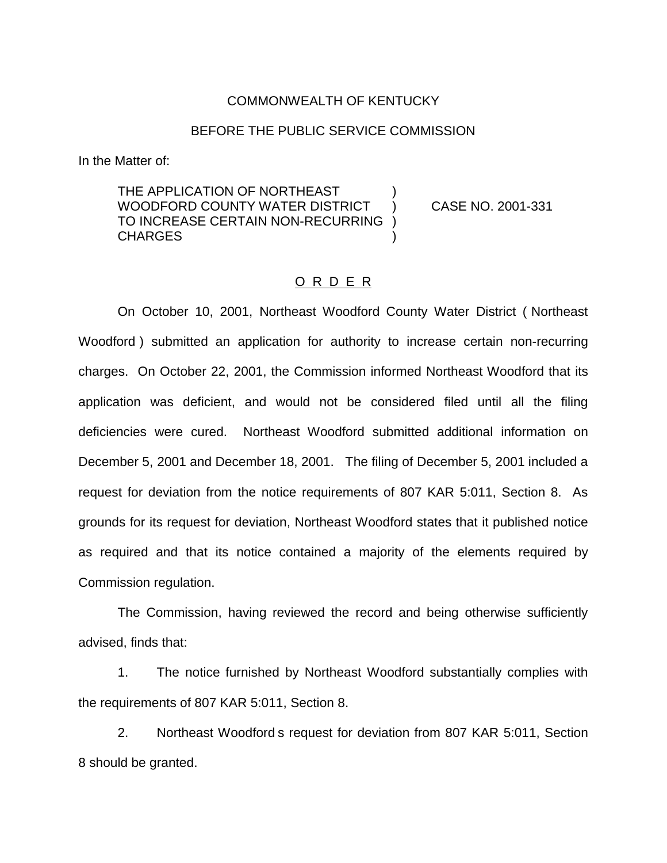#### COMMONWEALTH OF KENTUCKY

#### BEFORE THE PUBLIC SERVICE COMMISSION

In the Matter of:

THE APPLICATION OF NORTHEAST WOODFORD COUNTY WATER DISTRICT ) CASE NO. 2001-331 TO INCREASE CERTAIN NON-RECURRING ) CHARGES )

### O R D E R

On October 10, 2001, Northeast Woodford County Water District ( Northeast Woodford ) submitted an application for authority to increase certain non-recurring charges. On October 22, 2001, the Commission informed Northeast Woodford that its application was deficient, and would not be considered filed until all the filing deficiencies were cured. Northeast Woodford submitted additional information on December 5, 2001 and December 18, 2001. The filing of December 5, 2001 included a request for deviation from the notice requirements of 807 KAR 5:011, Section 8. As grounds for its request for deviation, Northeast Woodford states that it published notice as required and that its notice contained a majority of the elements required by Commission regulation.

The Commission, having reviewed the record and being otherwise sufficiently advised, finds that:

1. The notice furnished by Northeast Woodford substantially complies with the requirements of 807 KAR 5:011, Section 8.

2. Northeast Woodford s request for deviation from 807 KAR 5:011, Section 8 should be granted.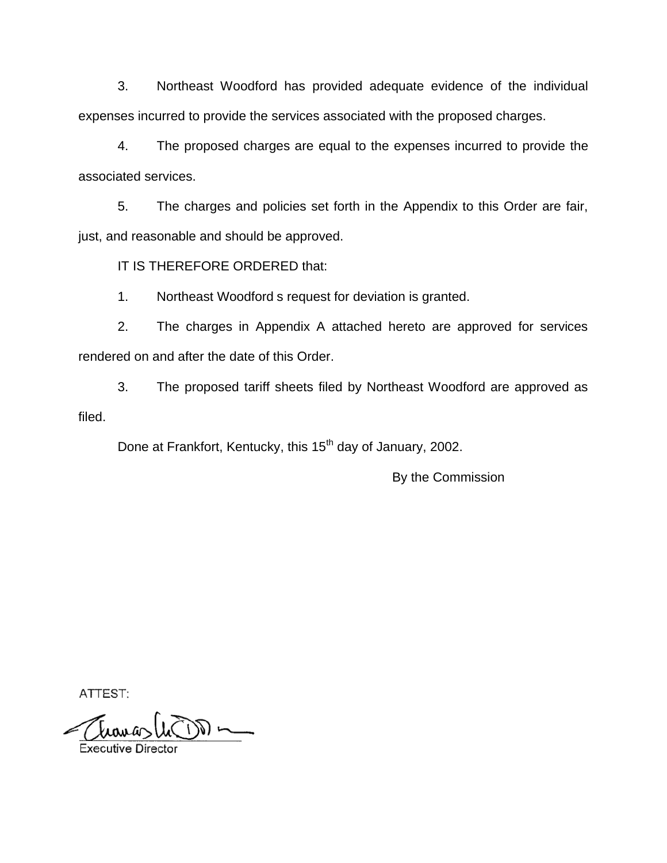3. Northeast Woodford has provided adequate evidence of the individual expenses incurred to provide the services associated with the proposed charges.

4. The proposed charges are equal to the expenses incurred to provide the associated services.

5. The charges and policies set forth in the Appendix to this Order are fair, just, and reasonable and should be approved.

IT IS THEREFORE ORDERED that:

1. Northeast Woodford s request for deviation is granted.

2. The charges in Appendix A attached hereto are approved for services rendered on and after the date of this Order.

3. The proposed tariff sheets filed by Northeast Woodford are approved as filed.

Done at Frankfort, Kentucky, this 15<sup>th</sup> day of January, 2002.

By the Commission

ATTEST:

 $\sim 60^{\circ}$